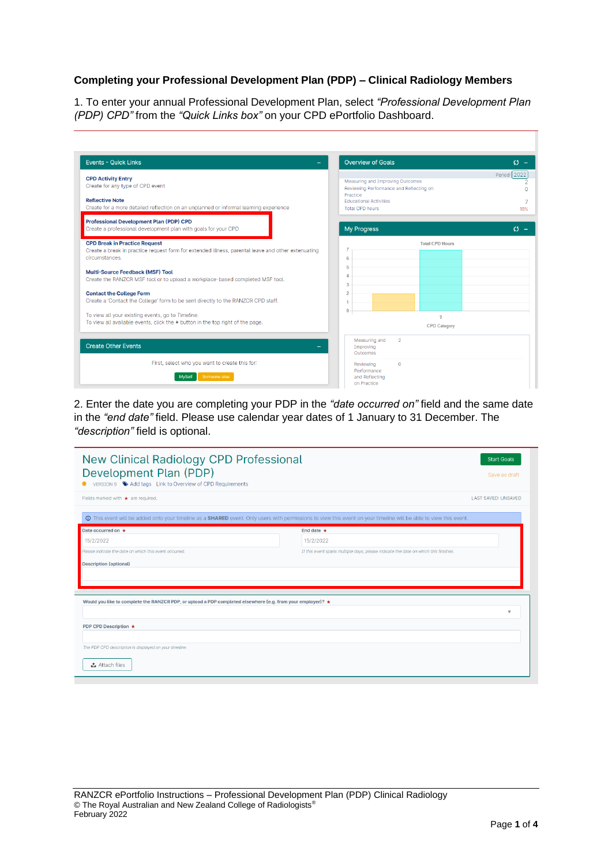## **Completing your Professional Development Plan (PDP) – Clinical Radiology Members**

1. To enter your annual Professional Development Plan, select *"Professional Development Plan (PDP) CPD"* from the *"Quick Links box"* on your CPD ePortfolio Dashboard.

| <b>Events - Quick Links</b>                                                                                                                                                                                                                                                                                                                                                                                                                                                                                                                            | <b>Overview of Goals</b>                                                                                                                           | $\mathcal{L}$ - |
|--------------------------------------------------------------------------------------------------------------------------------------------------------------------------------------------------------------------------------------------------------------------------------------------------------------------------------------------------------------------------------------------------------------------------------------------------------------------------------------------------------------------------------------------------------|----------------------------------------------------------------------------------------------------------------------------------------------------|-----------------|
| <b>CPD Activity Entry</b><br>Create for any type of CPD event<br><b>Reflective Note</b><br>Create for a more detailed reflection on an unplanned or informal learning experience                                                                                                                                                                                                                                                                                                                                                                       | Measuring and Improving Outcomes<br>Reviewing Performance and Reflecting on<br>Practice<br><b>Educational Activities</b><br><b>Total CPD hours</b> | Period: 2022    |
| <b>Professional Development Plan (PDP) CPD</b><br>Create a professional development plan with goals for your CPD                                                                                                                                                                                                                                                                                                                                                                                                                                       | <b>My Progress</b>                                                                                                                                 | $(5 -$          |
| <b>CPD Break in Practice Request</b><br>Create a break in practice request form for extended illness, parental leave and other extenuating<br>circumstances.<br><b>Multi-Source Feedback (MSF) Tool</b><br>Create the RANZCR MSF tool or to upload a workplace-based completed MSF tool.<br><b>Contact the College Form</b><br>Create a 'Contact the College' form to be sent directly to the RANZCR CPD staff.<br>To view all your existing events, go to Timeline.<br>To view all available events, click the + button in the top right of the page. | <b>Total CPD Hours</b><br>6<br>5<br>$\Delta$<br>3<br>$\overline{2}$<br>$\theta$<br>Q<br>CPD Category                                               |                 |
| <b>Create Other Events</b><br>First, select who you want to create this for:<br>Someone else<br><b>MySelf</b>                                                                                                                                                                                                                                                                                                                                                                                                                                          | $\overline{2}$<br>Measuring and<br>Improving<br>Outcomes<br>Reviewing<br>$\mathbf{O}$<br>Performance<br>and Reflecting<br>on Practice              |                 |

2. Enter the date you are completing your PDP in the *"date occurred on"* field and the same date in the *"end date"* field. Please use calendar year dates of 1 January to 31 December. The *"description"* field is optional.

| New Clinical Radiology CPD Professional<br>Development Plan (PDP)<br>VERSION 9 Add tags Link to Overview of CPD Requirements                                             | <b>Start Goals</b><br>Save as draft                                                 |
|--------------------------------------------------------------------------------------------------------------------------------------------------------------------------|-------------------------------------------------------------------------------------|
| Fields marked with $\star$ are required.                                                                                                                                 | <b>LAST SAVED: UNSAVED</b>                                                          |
| <b>O</b> This event will be added onto your timeline as a SHARED event. Only users with permissions to view this event on your timeline will be able to view this event. |                                                                                     |
| Date occurred on *                                                                                                                                                       | End date $\star$                                                                    |
| 15/2/2022                                                                                                                                                                | 15/2/2022                                                                           |
| Please indicate the date on which this event occurred.                                                                                                                   | If this event spans multiple days, please indicate the date on which this finishes. |
| <b>Description (optional)</b>                                                                                                                                            |                                                                                     |
| Would you like to complete the RANZCR PDP, or upload a PDP completed elsewhere (e.g. from your employer)? $\star$                                                        |                                                                                     |
|                                                                                                                                                                          | $\overline{\mathbf{v}}$                                                             |
| PDP CPD Description ★                                                                                                                                                    |                                                                                     |
| The PDP CPD description is displayed on your timeline.                                                                                                                   |                                                                                     |
| <b>△</b> Attach files                                                                                                                                                    |                                                                                     |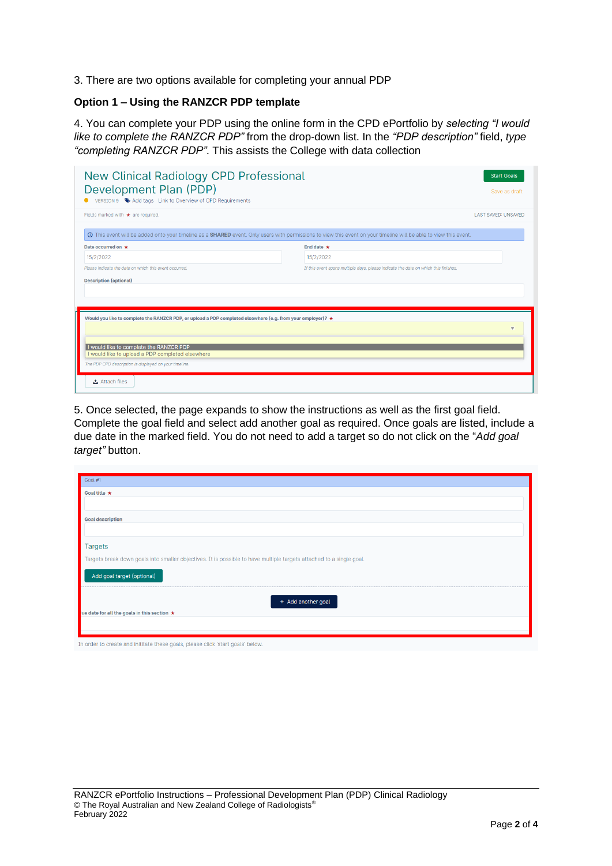3. There are two options available for completing your annual PDP

## **Option 1 – Using the RANZCR PDP template**

4. You can complete your PDP using the online form in the CPD ePortfolio by *selecting "I would like to complete the RANZCR PDP"* from the drop-down list. In the *"PDP description"* field, *type "completing RANZCR PDP"*. This assists the College with data collection

| <b>New Clinical Radiology CPD Professional</b><br>Development Plan (PDP)<br>VERSION 9 Add tags Link to Overview of CPD Requirements                                                                                                                                        |                                                                                                                                                                                 | <b>Start Goals</b><br>Save as draft |
|----------------------------------------------------------------------------------------------------------------------------------------------------------------------------------------------------------------------------------------------------------------------------|---------------------------------------------------------------------------------------------------------------------------------------------------------------------------------|-------------------------------------|
| Fields marked with $\star$ are required.                                                                                                                                                                                                                                   |                                                                                                                                                                                 | <b>LAST SAVED: UNSAVED</b>          |
|                                                                                                                                                                                                                                                                            | <b>O</b> This event will be added onto your timeline as a <b>SHARED</b> event. Only users with permissions to view this event on your timeline will be able to view this event. |                                     |
| Date occurred on *                                                                                                                                                                                                                                                         | End date $\star$                                                                                                                                                                |                                     |
| 15/2/2022                                                                                                                                                                                                                                                                  | 15/2/2022                                                                                                                                                                       |                                     |
| Please indicate the date on which this event occurred.                                                                                                                                                                                                                     | If this event spans multiple days, please indicate the date on which this finishes.                                                                                             |                                     |
|                                                                                                                                                                                                                                                                            |                                                                                                                                                                                 |                                     |
| Would you like to complete the RANZCR PDP, or upload a PDP completed elsewhere (e.g. from your employer)? $\star$<br>I would like to complete the RANZCR PDP<br>I would like to upload a PDP completed elsewhere<br>The PDP CPD description is displayed on your timeline. |                                                                                                                                                                                 |                                     |
| <b>△</b> Attach files                                                                                                                                                                                                                                                      |                                                                                                                                                                                 |                                     |

5. Once selected, the page expands to show the instructions as well as the first goal field. Complete the goal field and select add another goal as required. Once goals are listed, include a due date in the marked field. You do not need to add a target so do not click on the "*Add goal target"* button.

| Goal #1                                                                                                              |
|----------------------------------------------------------------------------------------------------------------------|
| Goal title $\star$                                                                                                   |
|                                                                                                                      |
| <b>Goal description</b>                                                                                              |
|                                                                                                                      |
| <b>Targets</b>                                                                                                       |
| Targets break down goals into smaller objectives. It is possible to have multiple targets attached to a single goal. |
| Add goal target (optional)                                                                                           |
| + Add another goal                                                                                                   |
| ue date for all the goals in this section $\star$                                                                    |
|                                                                                                                      |
|                                                                                                                      |
| In order to create and inititate these goals, please click 'start goals' below.                                      |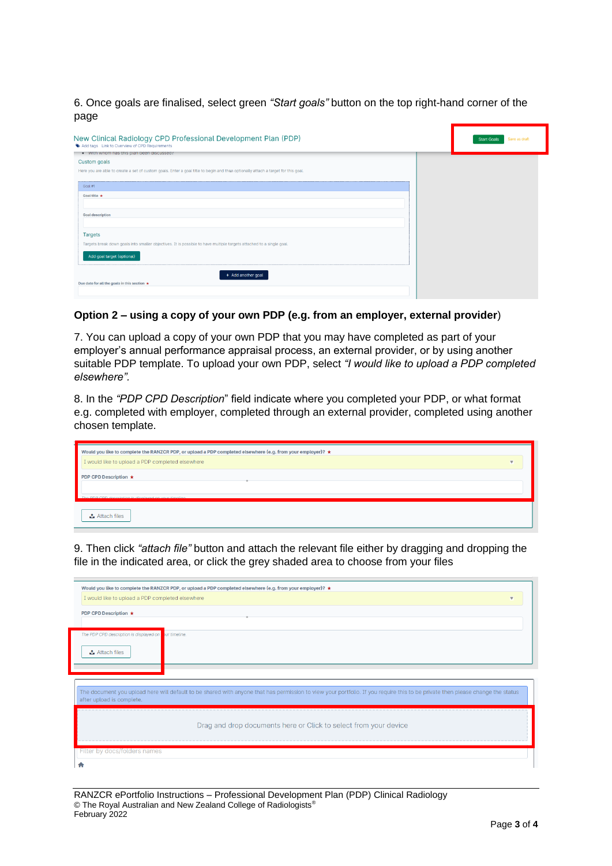6. Once goals are finalised, select green *"Start goals"* button on the top right-hand corner of the page

| New Clinical Radiology CPD Professional Development Plan (PDP)<br>Add tags Link to Overview of CPD Requirements<br>. With whom has this plan been discussed? | Save as draft<br><b>Start Goals</b> |
|--------------------------------------------------------------------------------------------------------------------------------------------------------------|-------------------------------------|
| Custom goals                                                                                                                                                 |                                     |
| Here you are able to create a set of custom goals. Enter a goal title to begin and then optionally attach a target for this goal.                            |                                     |
| Goal #1                                                                                                                                                      |                                     |
| Goal title *                                                                                                                                                 |                                     |
| <b>Goal description</b>                                                                                                                                      |                                     |
| <b>Targets</b>                                                                                                                                               |                                     |
| Targets break down goals into smaller objectives. It is possible to have multiple targets attached to a single goal.                                         |                                     |
| Add goal target (optional)                                                                                                                                   |                                     |
| + Add another goal<br>Due date for all the goals in this section $\star$                                                                                     |                                     |
|                                                                                                                                                              |                                     |

## **Option 2 – using a copy of your own PDP (e.g. from an employer, external provider**)

7. You can upload a copy of your own PDP that you may have completed as part of your employer's annual performance appraisal process, an external provider, or by using another suitable PDP template. To upload your own PDP, select *"I would like to upload a PDP completed elsewhere".*

8. In the *"PDP CPD Description*" field indicate where you completed your PDP, or what format e.g. completed with employer, completed through an external provider, completed using another chosen template.

| Would you like to complete the RANZCR PDP, or upload a PDP completed elsewhere (e.g. from your employer)? ★ |  |
|-------------------------------------------------------------------------------------------------------------|--|
| I would like to upload a PDP completed elsewhere                                                            |  |
| PDP CPD Description $\star$                                                                                 |  |
|                                                                                                             |  |
| The PDP CPD decerintion is displayed on your timeline                                                       |  |
| <b>△</b> Attach files                                                                                       |  |

9. Then click *"attach file"* button and attach the relevant file either by dragging and dropping the file in the indicated area, or click the grey shaded area to choose from your files

| Would you like to complete the RANZCR PDP, or upload a PDP completed elsewhere (e.g. from your employer)? ★<br>I would like to upload a PDP completed elsewhere<br>PDP CPD Description ★<br>The PDP CPD description is displayed on pur timeline.<br><b>소</b> Attach files<br>The document you upload here will default to be shared with anyone that has permission to view your portfolio. If you require this to be private then please change the status<br>after upload is complete.<br>Drag and drop documents here or Click to select from your device |                              |  |
|---------------------------------------------------------------------------------------------------------------------------------------------------------------------------------------------------------------------------------------------------------------------------------------------------------------------------------------------------------------------------------------------------------------------------------------------------------------------------------------------------------------------------------------------------------------|------------------------------|--|
|                                                                                                                                                                                                                                                                                                                                                                                                                                                                                                                                                               |                              |  |
|                                                                                                                                                                                                                                                                                                                                                                                                                                                                                                                                                               |                              |  |
|                                                                                                                                                                                                                                                                                                                                                                                                                                                                                                                                                               |                              |  |
|                                                                                                                                                                                                                                                                                                                                                                                                                                                                                                                                                               |                              |  |
|                                                                                                                                                                                                                                                                                                                                                                                                                                                                                                                                                               |                              |  |
|                                                                                                                                                                                                                                                                                                                                                                                                                                                                                                                                                               |                              |  |
|                                                                                                                                                                                                                                                                                                                                                                                                                                                                                                                                                               |                              |  |
|                                                                                                                                                                                                                                                                                                                                                                                                                                                                                                                                                               |                              |  |
|                                                                                                                                                                                                                                                                                                                                                                                                                                                                                                                                                               |                              |  |
|                                                                                                                                                                                                                                                                                                                                                                                                                                                                                                                                                               |                              |  |
|                                                                                                                                                                                                                                                                                                                                                                                                                                                                                                                                                               |                              |  |
|                                                                                                                                                                                                                                                                                                                                                                                                                                                                                                                                                               |                              |  |
|                                                                                                                                                                                                                                                                                                                                                                                                                                                                                                                                                               |                              |  |
|                                                                                                                                                                                                                                                                                                                                                                                                                                                                                                                                                               |                              |  |
|                                                                                                                                                                                                                                                                                                                                                                                                                                                                                                                                                               |                              |  |
|                                                                                                                                                                                                                                                                                                                                                                                                                                                                                                                                                               |                              |  |
|                                                                                                                                                                                                                                                                                                                                                                                                                                                                                                                                                               |                              |  |
|                                                                                                                                                                                                                                                                                                                                                                                                                                                                                                                                                               |                              |  |
|                                                                                                                                                                                                                                                                                                                                                                                                                                                                                                                                                               | Filter by docs/folders names |  |

RANZCR ePortfolio Instructions – Professional Development Plan (PDP) Clinical Radiology © The Royal Australian and New Zealand College of Radiologists® February 2022